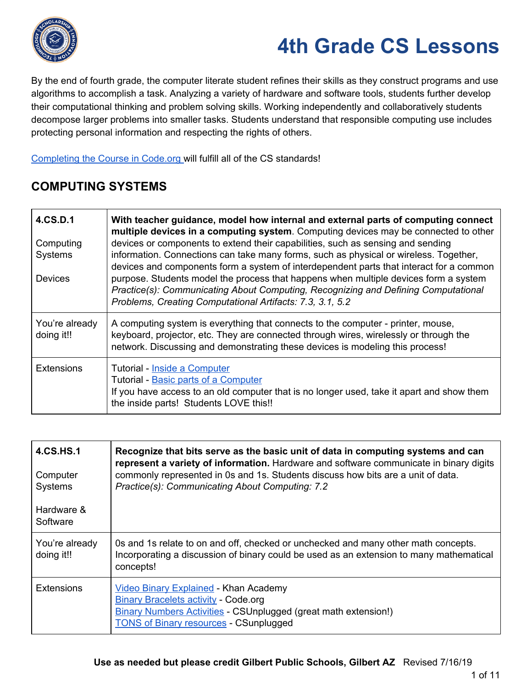

By the end of fourth grade, the computer literate student refines their skills as they construct programs and use algorithms to accomplish a task. Analyzing a variety of hardware and software tools, students further develop their computational thinking and problem solving skills. Working independently and collaboratively students decompose larger problems into smaller tasks. Students understand that responsible computing use includes protecting personal information and respecting the rights of others.

[Completing](https://code.org/educate/curriculum/elementary-school) the Course in Code.org will fulfill all of the CS standards!

#### **COMPUTING SYSTEMS**

| 4.CS.D.1<br>Computing<br>Systems<br><b>Devices</b> | With teacher guidance, model how internal and external parts of computing connect<br>multiple devices in a computing system. Computing devices may be connected to other<br>devices or components to extend their capabilities, such as sensing and sending<br>information. Connections can take many forms, such as physical or wireless. Together,<br>devices and components form a system of interdependent parts that interact for a common<br>purpose. Students model the process that happens when multiple devices form a system<br>Practice(s): Communicating About Computing, Recognizing and Defining Computational<br>Problems, Creating Computational Artifacts: 7.3, 3.1, 5.2 |
|----------------------------------------------------|--------------------------------------------------------------------------------------------------------------------------------------------------------------------------------------------------------------------------------------------------------------------------------------------------------------------------------------------------------------------------------------------------------------------------------------------------------------------------------------------------------------------------------------------------------------------------------------------------------------------------------------------------------------------------------------------|
| You're already<br>doing it!!                       | A computing system is everything that connects to the computer - printer, mouse,<br>keyboard, projector, etc. They are connected through wires, wirelessly or through the<br>network. Discussing and demonstrating these devices is modeling this process!                                                                                                                                                                                                                                                                                                                                                                                                                                 |
| <b>Extensions</b>                                  | Tutorial - Inside a Computer<br>Tutorial - Basic parts of a Computer<br>If you have access to an old computer that is no longer used, take it apart and show them<br>the inside parts! Students LOVE this!!                                                                                                                                                                                                                                                                                                                                                                                                                                                                                |

| <b>4.CS.HS.1</b><br>Computer<br>Systems<br>Hardware &<br>Software | Recognize that bits serve as the basic unit of data in computing systems and can<br>represent a variety of information. Hardware and software communicate in binary digits<br>commonly represented in 0s and 1s. Students discuss how bits are a unit of data.<br>Practice(s): Communicating About Computing: 7.2 |
|-------------------------------------------------------------------|-------------------------------------------------------------------------------------------------------------------------------------------------------------------------------------------------------------------------------------------------------------------------------------------------------------------|
| You're already<br>doing it!!                                      | Os and 1s relate to on and off, checked or unchecked and many other math concepts.<br>Incorporating a discussion of binary could be used as an extension to many mathematical<br>concepts!                                                                                                                        |
| <b>Extensions</b>                                                 | <b>Video Binary Explained - Khan Academy</b><br><b>Binary Bracelets activity - Code.org</b><br><b>Binary Numbers Activities - CSUnplugged (great math extension!)</b><br><b>TONS of Binary resources - CSunplugged</b>                                                                                            |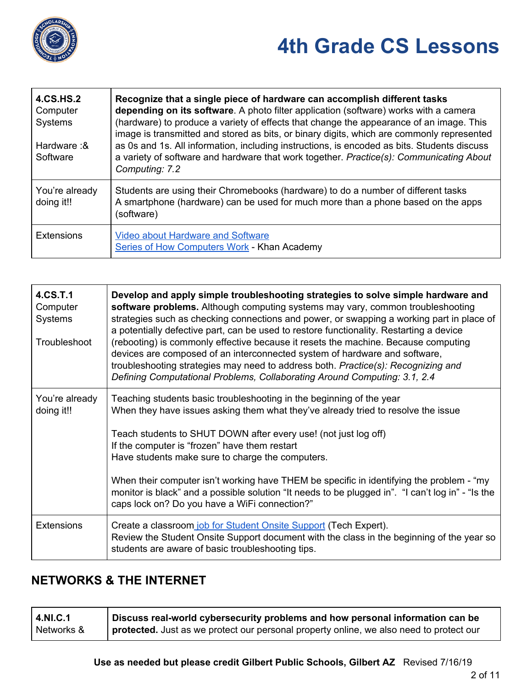

Т

| <b>4.CS.HS.2</b><br>Computer<br>Systems<br>Hardware: &<br>Software | Recognize that a single piece of hardware can accomplish different tasks<br>depending on its software. A photo filter application (software) works with a camera<br>(hardware) to produce a variety of effects that change the appearance of an image. This<br>image is transmitted and stored as bits, or binary digits, which are commonly represented<br>as 0s and 1s. All information, including instructions, is encoded as bits. Students discuss<br>a variety of software and hardware that work together. Practice(s): Communicating About<br>Computing: 7.2 |
|--------------------------------------------------------------------|----------------------------------------------------------------------------------------------------------------------------------------------------------------------------------------------------------------------------------------------------------------------------------------------------------------------------------------------------------------------------------------------------------------------------------------------------------------------------------------------------------------------------------------------------------------------|
| You're already<br>doing it!!                                       | Students are using their Chromebooks (hardware) to do a number of different tasks<br>A smartphone (hardware) can be used for much more than a phone based on the apps<br>(software)                                                                                                                                                                                                                                                                                                                                                                                  |
| <b>Extensions</b>                                                  | <b>Video about Hardware and Software</b><br>Series of How Computers Work - Khan Academy                                                                                                                                                                                                                                                                                                                                                                                                                                                                              |

| 4.CS.T.1<br>Computer<br><b>Systems</b><br>Troubleshoot | Develop and apply simple troubleshooting strategies to solve simple hardware and<br>software problems. Although computing systems may vary, common troubleshooting<br>strategies such as checking connections and power, or swapping a working part in place of<br>a potentially defective part, can be used to restore functionality. Restarting a device<br>(rebooting) is commonly effective because it resets the machine. Because computing<br>devices are composed of an interconnected system of hardware and software,<br>troubleshooting strategies may need to address both. Practice(s): Recognizing and<br>Defining Computational Problems, Collaborating Around Computing: 3.1, 2.4 |
|--------------------------------------------------------|--------------------------------------------------------------------------------------------------------------------------------------------------------------------------------------------------------------------------------------------------------------------------------------------------------------------------------------------------------------------------------------------------------------------------------------------------------------------------------------------------------------------------------------------------------------------------------------------------------------------------------------------------------------------------------------------------|
| You're already<br>doing it!!                           | Teaching students basic troubleshooting in the beginning of the year<br>When they have issues asking them what they've already tried to resolve the issue<br>Teach students to SHUT DOWN after every use! (not just log off)<br>If the computer is "frozen" have them restart<br>Have students make sure to charge the computers.                                                                                                                                                                                                                                                                                                                                                                |
|                                                        | When their computer isn't working have THEM be specific in identifying the problem - "my<br>monitor is black" and a possible solution "It needs to be plugged in". "I can't log in" - "Is the<br>caps lock on? Do you have a WiFi connection?"                                                                                                                                                                                                                                                                                                                                                                                                                                                   |
| <b>Extensions</b>                                      | Create a classroom job for Student Onsite Support (Tech Expert).<br>Review the Student Onsite Support document with the class in the beginning of the year so<br>students are aware of basic troubleshooting tips.                                                                                                                                                                                                                                                                                                                                                                                                                                                                               |

#### **NETWORKS & THE INTERNET**

| 4.NI.C.1   | Discuss real-world cybersecurity problems and how personal information can be           |
|------------|-----------------------------------------------------------------------------------------|
| Networks & | protected. Just as we protect our personal property online, we also need to protect our |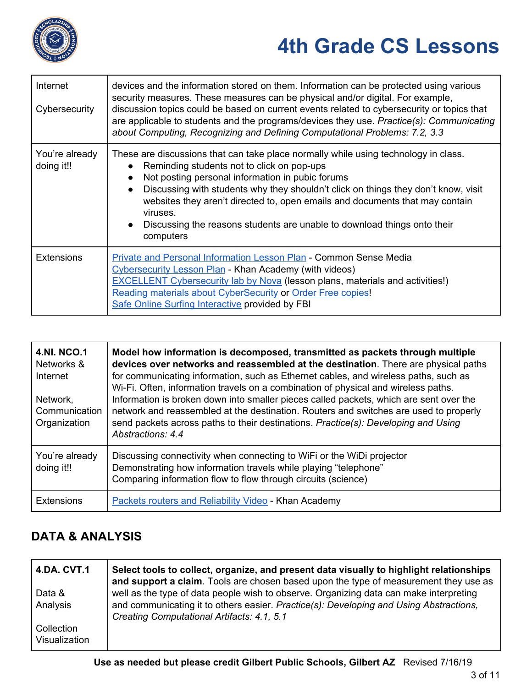

| Internet<br>Cybersecurity    | devices and the information stored on them. Information can be protected using various<br>security measures. These measures can be physical and/or digital. For example,<br>discussion topics could be based on current events related to cybersecurity or topics that<br>are applicable to students and the programs/devices they use. Practice(s): Communicating<br>about Computing, Recognizing and Defining Computational Problems: 7.2, 3.3                              |
|------------------------------|-------------------------------------------------------------------------------------------------------------------------------------------------------------------------------------------------------------------------------------------------------------------------------------------------------------------------------------------------------------------------------------------------------------------------------------------------------------------------------|
| You're already<br>doing it!! | These are discussions that can take place normally while using technology in class.<br>Reminding students not to click on pop-ups<br>Not posting personal information in pubic forums<br>Discussing with students why they shouldn't click on things they don't know, visit<br>$\bullet$<br>websites they aren't directed to, open emails and documents that may contain<br>viruses.<br>Discussing the reasons students are unable to download things onto their<br>computers |
| <b>Extensions</b>            | Private and Personal Information Lesson Plan - Common Sense Media<br><b>Cybersecurity Lesson Plan - Khan Academy (with videos)</b><br><b>EXCELLENT Cybersecurity lab by Nova (lesson plans, materials and activities!)</b><br>Reading materials about CyberSecurity or Order Free copies!<br>Safe Online Surfing Interactive provided by FBI                                                                                                                                  |

| <b>4.NI. NCO.1</b><br>Networks &<br>Internet<br>Network,<br>Communication<br>Organization | Model how information is decomposed, transmitted as packets through multiple<br>devices over networks and reassembled at the destination. There are physical paths<br>for communicating information, such as Ethernet cables, and wireless paths, such as<br>Wi-Fi. Often, information travels on a combination of physical and wireless paths.<br>Information is broken down into smaller pieces called packets, which are sent over the<br>network and reassembled at the destination. Routers and switches are used to properly<br>send packets across paths to their destinations. Practice(s): Developing and Using<br>Abstractions: 4.4 |
|-------------------------------------------------------------------------------------------|-----------------------------------------------------------------------------------------------------------------------------------------------------------------------------------------------------------------------------------------------------------------------------------------------------------------------------------------------------------------------------------------------------------------------------------------------------------------------------------------------------------------------------------------------------------------------------------------------------------------------------------------------|
| You're already<br>doing it!!                                                              | Discussing connectivity when connecting to WiFi or the WiDi projector<br>Demonstrating how information travels while playing "telephone"<br>Comparing information flow to flow through circuits (science)                                                                                                                                                                                                                                                                                                                                                                                                                                     |
| <b>Extensions</b>                                                                         | <b>Packets routers and Reliability Video - Khan Academy</b>                                                                                                                                                                                                                                                                                                                                                                                                                                                                                                                                                                                   |

#### **DATA & ANALYSIS**

| <b>4.DA. CVT.1</b> | Select tools to collect, organize, and present data visually to highlight relationships<br>and support a claim. Tools are chosen based upon the type of measurement they use as |
|--------------------|---------------------------------------------------------------------------------------------------------------------------------------------------------------------------------|
| Data &             | well as the type of data people wish to observe. Organizing data can make interpreting                                                                                          |
| Analysis           | and communicating it to others easier. Practice(s): Developing and Using Abstractions,<br>Creating Computational Artifacts: 4.1, 5.1                                            |
| Collection         |                                                                                                                                                                                 |
| Visualization      |                                                                                                                                                                                 |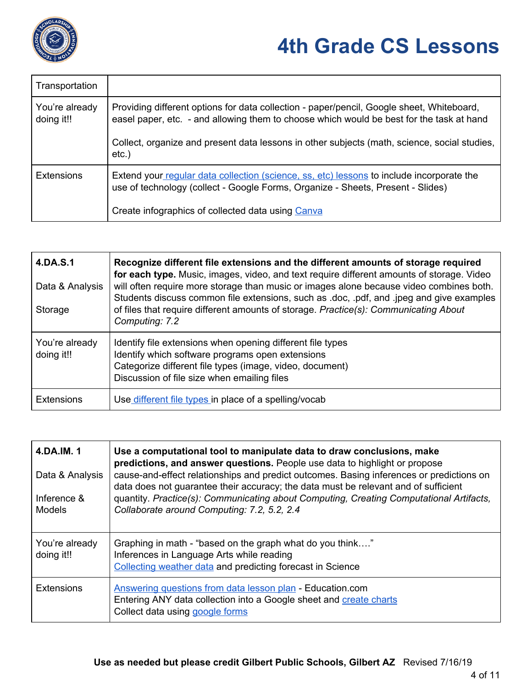

| Transportation               |                                                                                                                                                                                       |
|------------------------------|---------------------------------------------------------------------------------------------------------------------------------------------------------------------------------------|
| You're already<br>doing it!! | Providing different options for data collection - paper/pencil, Google sheet, Whiteboard,<br>easel paper, etc. - and allowing them to choose which would be best for the task at hand |
|                              | Collect, organize and present data lessons in other subjects (math, science, social studies,<br>$etc.$ )                                                                              |
| <b>Extensions</b>            | Extend your regular data collection (science, ss, etc) lessons to include incorporate the<br>use of technology (collect - Google Forms, Organize - Sheets, Present - Slides)          |
|                              | Create infographics of collected data using Canva                                                                                                                                     |

| 4.DA.S.1<br>Data & Analysis<br>Storage | Recognize different file extensions and the different amounts of storage required<br>for each type. Music, images, video, and text require different amounts of storage. Video<br>will often require more storage than music or images alone because video combines both.<br>Students discuss common file extensions, such as .doc, .pdf, and .jpeg and give examples<br>of files that require different amounts of storage. Practice(s): Communicating About<br>Computing: 7.2 |
|----------------------------------------|---------------------------------------------------------------------------------------------------------------------------------------------------------------------------------------------------------------------------------------------------------------------------------------------------------------------------------------------------------------------------------------------------------------------------------------------------------------------------------|
| You're already<br>doing it!!           | Identify file extensions when opening different file types<br>Identify which software programs open extensions<br>Categorize different file types (image, video, document)<br>Discussion of file size when emailing files                                                                                                                                                                                                                                                       |
| <b>Extensions</b>                      | Use different file types in place of a spelling/vocab                                                                                                                                                                                                                                                                                                                                                                                                                           |

| 4.DA.IM. 1<br>Data & Analysis<br>Inference &<br>Models | Use a computational tool to manipulate data to draw conclusions, make<br>predictions, and answer questions. People use data to highlight or propose<br>cause-and-effect relationships and predict outcomes. Basing inferences or predictions on<br>data does not guarantee their accuracy; the data must be relevant and of sufficient<br>quantity. Practice(s): Communicating about Computing, Creating Computational Artifacts,<br>Collaborate around Computing: 7.2, 5.2, 2.4 |
|--------------------------------------------------------|----------------------------------------------------------------------------------------------------------------------------------------------------------------------------------------------------------------------------------------------------------------------------------------------------------------------------------------------------------------------------------------------------------------------------------------------------------------------------------|
| You're already<br>doing it!!                           | Graphing in math - "based on the graph what do you think"<br>Inferences in Language Arts while reading<br>Collecting weather data and predicting forecast in Science                                                                                                                                                                                                                                                                                                             |
| <b>Extensions</b>                                      | Answering questions from data lesson plan - Education.com<br>Entering ANY data collection into a Google sheet and create charts<br>Collect data using google forms                                                                                                                                                                                                                                                                                                               |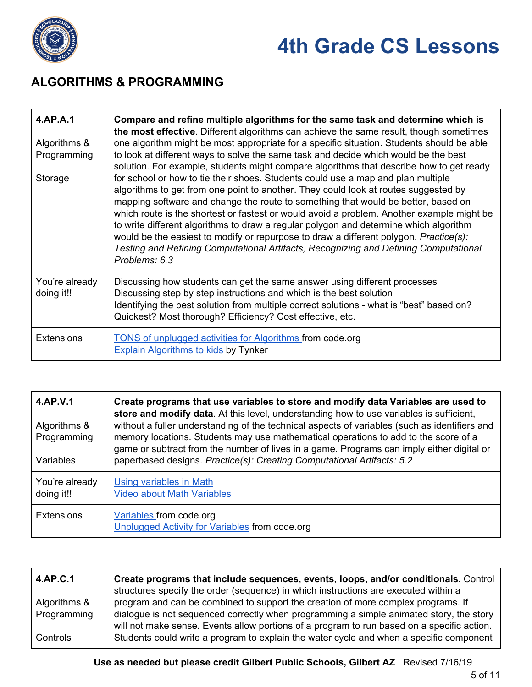

#### **ALGORITHMS & PROGRAMMING**

| 4.AP.A.1<br>Algorithms &<br>Programming<br>Storage | Compare and refine multiple algorithms for the same task and determine which is<br>the most effective. Different algorithms can achieve the same result, though sometimes<br>one algorithm might be most appropriate for a specific situation. Students should be able<br>to look at different ways to solve the same task and decide which would be the best<br>solution. For example, students might compare algorithms that describe how to get ready<br>for school or how to tie their shoes. Students could use a map and plan multiple<br>algorithms to get from one point to another. They could look at routes suggested by<br>mapping software and change the route to something that would be better, based on<br>which route is the shortest or fastest or would avoid a problem. Another example might be<br>to write different algorithms to draw a regular polygon and determine which algorithm<br>would be the easiest to modify or repurpose to draw a different polygon. Practice(s):<br>Testing and Refining Computational Artifacts, Recognizing and Defining Computational<br>Problems: 6.3 |
|----------------------------------------------------|------------------------------------------------------------------------------------------------------------------------------------------------------------------------------------------------------------------------------------------------------------------------------------------------------------------------------------------------------------------------------------------------------------------------------------------------------------------------------------------------------------------------------------------------------------------------------------------------------------------------------------------------------------------------------------------------------------------------------------------------------------------------------------------------------------------------------------------------------------------------------------------------------------------------------------------------------------------------------------------------------------------------------------------------------------------------------------------------------------------|
| You're already<br>doing it!!                       | Discussing how students can get the same answer using different processes<br>Discussing step by step instructions and which is the best solution<br>Identifying the best solution from multiple correct solutions - what is "best" based on?<br>Quickest? Most thorough? Efficiency? Cost effective, etc.                                                                                                                                                                                                                                                                                                                                                                                                                                                                                                                                                                                                                                                                                                                                                                                                        |
| <b>Extensions</b>                                  | <b>TONS of unplugged activities for Algorithms from code.org</b><br><b>Explain Algorithms to kids by Tynker</b>                                                                                                                                                                                                                                                                                                                                                                                                                                                                                                                                                                                                                                                                                                                                                                                                                                                                                                                                                                                                  |

| 4.AP.V.1<br>Algorithms &<br>Programming<br>Variables | Create programs that use variables to store and modify data Variables are used to<br>store and modify data. At this level, understanding how to use variables is sufficient,<br>without a fuller understanding of the technical aspects of variables (such as identifiers and<br>memory locations. Students may use mathematical operations to add to the score of a<br>game or subtract from the number of lives in a game. Programs can imply either digital or<br>paperbased designs. Practice(s): Creating Computational Artifacts: 5.2 |
|------------------------------------------------------|---------------------------------------------------------------------------------------------------------------------------------------------------------------------------------------------------------------------------------------------------------------------------------------------------------------------------------------------------------------------------------------------------------------------------------------------------------------------------------------------------------------------------------------------|
| You're already<br>doing it!!                         | Using variables in Math<br><b>Video about Math Variables</b>                                                                                                                                                                                                                                                                                                                                                                                                                                                                                |
| <b>Extensions</b>                                    | Variables from code.org<br>Unplugged Activity for Variables from code.org                                                                                                                                                                                                                                                                                                                                                                                                                                                                   |

| 4.AP.C.1     | Create programs that include sequences, events, loops, and/or conditionals. Control<br>structures specify the order (sequence) in which instructions are executed within a            |
|--------------|---------------------------------------------------------------------------------------------------------------------------------------------------------------------------------------|
| Algorithms & | program and can be combined to support the creation of more complex programs. If                                                                                                      |
| Programming  | dialogue is not sequenced correctly when programming a simple animated story, the story<br>will not make sense. Events allow portions of a program to run based on a specific action. |
| Controls     | Students could write a program to explain the water cycle and when a specific component                                                                                               |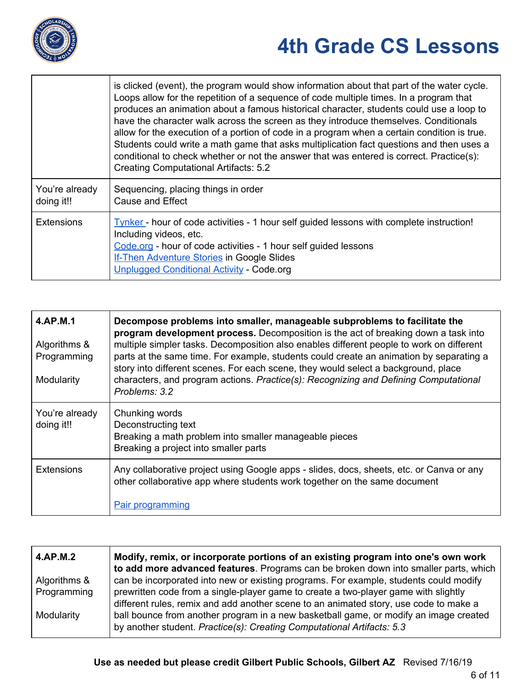

 $\mathsf I$ 

## **4th Grade CS Lessons**

|                              | is clicked (event), the program would show information about that part of the water cycle.<br>Loops allow for the repetition of a sequence of code multiple times. In a program that<br>produces an animation about a famous historical character, students could use a loop to<br>have the character walk across the screen as they introduce themselves. Conditionals<br>allow for the execution of a portion of code in a program when a certain condition is true.<br>Students could write a math game that asks multiplication fact questions and then uses a<br>conditional to check whether or not the answer that was entered is correct. Practice(s):<br><b>Creating Computational Artifacts: 5.2</b> |
|------------------------------|----------------------------------------------------------------------------------------------------------------------------------------------------------------------------------------------------------------------------------------------------------------------------------------------------------------------------------------------------------------------------------------------------------------------------------------------------------------------------------------------------------------------------------------------------------------------------------------------------------------------------------------------------------------------------------------------------------------|
| You're already<br>doing it!! | Sequencing, placing things in order<br><b>Cause and Effect</b>                                                                                                                                                                                                                                                                                                                                                                                                                                                                                                                                                                                                                                                 |
| <b>Extensions</b>            | <u>Tynker</u> - hour of code activities - 1 hour self guided lessons with complete instruction!<br>Including videos, etc.<br>Code.org - hour of code activities - 1 hour self guided lessons<br><b>If-Then Adventure Stories in Google Slides</b><br><b>Unplugged Conditional Activity - Code.org</b>                                                                                                                                                                                                                                                                                                                                                                                                          |

| 4.AP.M.1<br>Algorithms &<br>Programming<br>Modularity | Decompose problems into smaller, manageable subproblems to facilitate the<br>program development process. Decomposition is the act of breaking down a task into<br>multiple simpler tasks. Decomposition also enables different people to work on different<br>parts at the same time. For example, students could create an animation by separating a<br>story into different scenes. For each scene, they would select a background, place<br>characters, and program actions. Practice(s): Recognizing and Defining Computational<br>Problems: 3.2 |
|-------------------------------------------------------|-------------------------------------------------------------------------------------------------------------------------------------------------------------------------------------------------------------------------------------------------------------------------------------------------------------------------------------------------------------------------------------------------------------------------------------------------------------------------------------------------------------------------------------------------------|
| You're already<br>doing it!!                          | Chunking words<br>Deconstructing text<br>Breaking a math problem into smaller manageable pieces<br>Breaking a project into smaller parts                                                                                                                                                                                                                                                                                                                                                                                                              |
| <b>Extensions</b>                                     | Any collaborative project using Google apps - slides, docs, sheets, etc. or Canva or any<br>other collaborative app where students work together on the same document<br>Pair programming                                                                                                                                                                                                                                                                                                                                                             |

| 4.AP.M.2     | Modify, remix, or incorporate portions of an existing program into one's own work<br>to add more advanced features. Programs can be broken down into smaller parts, which    |
|--------------|------------------------------------------------------------------------------------------------------------------------------------------------------------------------------|
| Algorithms & | can be incorporated into new or existing programs. For example, students could modify                                                                                        |
| Programming  | prewritten code from a single-player game to create a two-player game with slightly<br>different rules, remix and add another scene to an animated story, use code to make a |
| Modularity   | ball bounce from another program in a new basketball game, or modify an image created<br>by another student. Practice(s): Creating Computational Artifacts: 5.3              |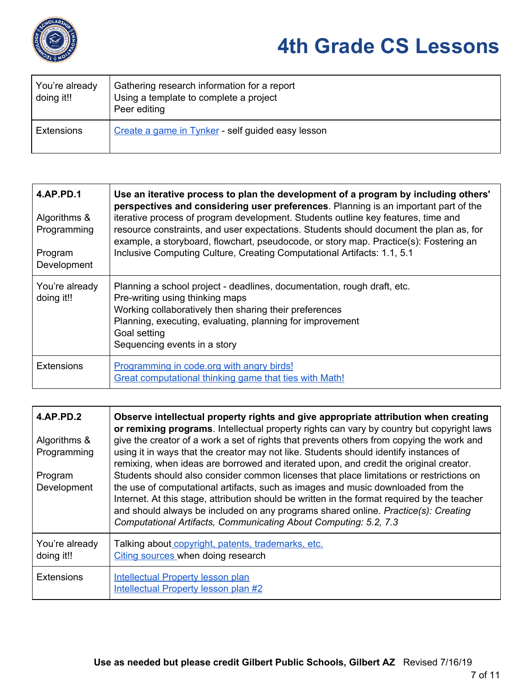

| You're already<br>doing it!! | Gathering research information for a report<br>Using a template to complete a project<br>Peer editing |
|------------------------------|-------------------------------------------------------------------------------------------------------|
| <b>Extensions</b>            | Create a game in Tynker - self guided easy lesson                                                     |

| 4.AP.PD.1<br>Algorithms &<br>Programming<br>Program<br>Development | Use an iterative process to plan the development of a program by including others'<br>perspectives and considering user preferences. Planning is an important part of the<br>iterative process of program development. Students outline key features, time and<br>resource constraints, and user expectations. Students should document the plan as, for<br>example, a storyboard, flowchart, pseudocode, or story map. Practice(s): Fostering an<br>Inclusive Computing Culture, Creating Computational Artifacts: 1.1, 5.1 |
|--------------------------------------------------------------------|------------------------------------------------------------------------------------------------------------------------------------------------------------------------------------------------------------------------------------------------------------------------------------------------------------------------------------------------------------------------------------------------------------------------------------------------------------------------------------------------------------------------------|
| You're already<br>doing it!!                                       | Planning a school project - deadlines, documentation, rough draft, etc.<br>Pre-writing using thinking maps<br>Working collaboratively then sharing their preferences<br>Planning, executing, evaluating, planning for improvement<br>Goal setting<br>Sequencing events in a story                                                                                                                                                                                                                                            |
| <b>Extensions</b>                                                  | Programming in code.org with angry birds!<br>Great computational thinking game that ties with Math!                                                                                                                                                                                                                                                                                                                                                                                                                          |

| <b>4.AP.PD.2</b><br>Algorithms &<br>Programming<br>Program<br>Development | Observe intellectual property rights and give appropriate attribution when creating<br>or remixing programs. Intellectual property rights can vary by country but copyright laws<br>give the creator of a work a set of rights that prevents others from copying the work and<br>using it in ways that the creator may not like. Students should identify instances of<br>remixing, when ideas are borrowed and iterated upon, and credit the original creator.<br>Students should also consider common licenses that place limitations or restrictions on<br>the use of computational artifacts, such as images and music downloaded from the<br>Internet. At this stage, attribution should be written in the format required by the teacher<br>and should always be included on any programs shared online. Practice(s): Creating<br>Computational Artifacts, Communicating About Computing: 5.2, 7.3 |
|---------------------------------------------------------------------------|----------------------------------------------------------------------------------------------------------------------------------------------------------------------------------------------------------------------------------------------------------------------------------------------------------------------------------------------------------------------------------------------------------------------------------------------------------------------------------------------------------------------------------------------------------------------------------------------------------------------------------------------------------------------------------------------------------------------------------------------------------------------------------------------------------------------------------------------------------------------------------------------------------|
| You're already<br>doing it!!                                              | Talking about copyright, patents, trademarks, etc.<br>Citing sources when doing research                                                                                                                                                                                                                                                                                                                                                                                                                                                                                                                                                                                                                                                                                                                                                                                                                 |
| <b>Extensions</b>                                                         | <b>Intellectual Property lesson plan</b><br><b>Intellectual Property lesson plan #2</b>                                                                                                                                                                                                                                                                                                                                                                                                                                                                                                                                                                                                                                                                                                                                                                                                                  |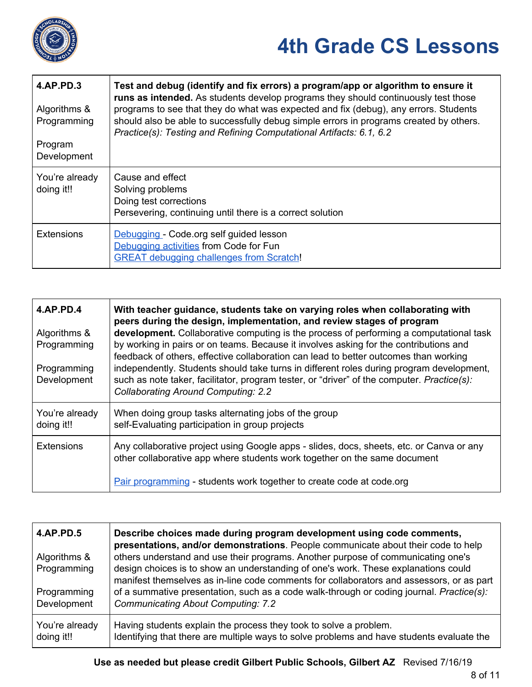

| 4.AP.PD.3<br>Algorithms &<br>Programming<br>Program<br>Development | Test and debug (identify and fix errors) a program/app or algorithm to ensure it<br>runs as intended. As students develop programs they should continuously test those<br>programs to see that they do what was expected and fix (debug), any errors. Students<br>should also be able to successfully debug simple errors in programs created by others.<br>Practice(s): Testing and Refining Computational Artifacts: 6.1, 6.2 |
|--------------------------------------------------------------------|---------------------------------------------------------------------------------------------------------------------------------------------------------------------------------------------------------------------------------------------------------------------------------------------------------------------------------------------------------------------------------------------------------------------------------|
| You're already<br>doing it!!                                       | Cause and effect<br>Solving problems<br>Doing test corrections<br>Persevering, continuing until there is a correct solution                                                                                                                                                                                                                                                                                                     |
| <b>Extensions</b>                                                  | Debugging - Code.org self guided lesson<br>Debugging activities from Code for Fun<br><b>GREAT debugging challenges from Scratch!</b>                                                                                                                                                                                                                                                                                            |

| <b>4.AP.PD.4</b>             | With teacher guidance, students take on varying roles when collaborating with<br>peers during the design, implementation, and review stages of program                                                                                                                  |
|------------------------------|-------------------------------------------------------------------------------------------------------------------------------------------------------------------------------------------------------------------------------------------------------------------------|
| Algorithms &<br>Programming  | development. Collaborative computing is the process of performing a computational task<br>by working in pairs or on teams. Because it involves asking for the contributions and<br>feedback of others, effective collaboration can lead to better outcomes than working |
| Programming<br>Development   | independently. Students should take turns in different roles during program development,<br>such as note taker, facilitator, program tester, or "driver" of the computer. Practice(s):<br><b>Collaborating Around Computing: 2.2</b>                                    |
| You're already<br>doing it!! | When doing group tasks alternating jobs of the group<br>self-Evaluating participation in group projects                                                                                                                                                                 |
| <b>Extensions</b>            | Any collaborative project using Google apps - slides, docs, sheets, etc. or Canva or any<br>other collaborative app where students work together on the same document                                                                                                   |
|                              | Pair programming - students work together to create code at code.org                                                                                                                                                                                                    |

| 4.AP.PD.5<br>Algorithms & | Describe choices made during program development using code comments,<br>presentations, and/or demonstrations. People communicate about their code to help<br>others understand and use their programs. Another purpose of communicating one's |
|---------------------------|------------------------------------------------------------------------------------------------------------------------------------------------------------------------------------------------------------------------------------------------|
| Programming               | design choices is to show an understanding of one's work. These explanations could<br>manifest themselves as in-line code comments for collaborators and assessors, or as part                                                                 |
| Programming               | of a summative presentation, such as a code walk-through or coding journal. Practice(s):                                                                                                                                                       |
| Development               | <b>Communicating About Computing: 7.2</b>                                                                                                                                                                                                      |
| You're already            | Having students explain the process they took to solve a problem.                                                                                                                                                                              |
| doing it!!                | Identifying that there are multiple ways to solve problems and have students evaluate the                                                                                                                                                      |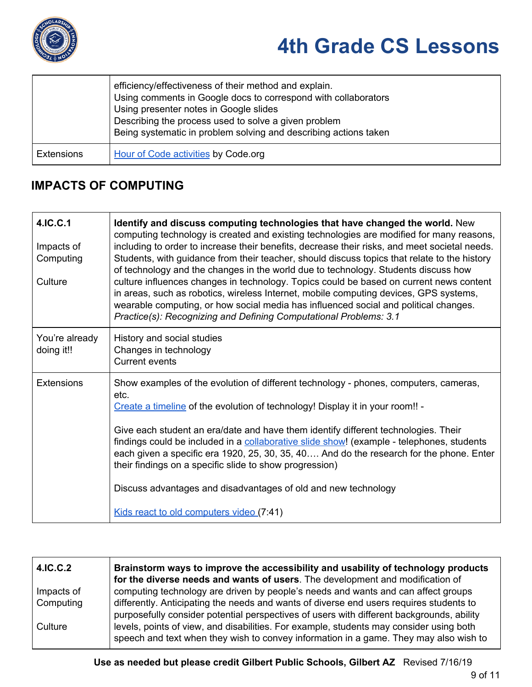

|                   | efficiency/effectiveness of their method and explain.<br>Using comments in Google docs to correspond with collaborators<br>Using presenter notes in Google slides<br>Describing the process used to solve a given problem<br>Being systematic in problem solving and describing actions taken |
|-------------------|-----------------------------------------------------------------------------------------------------------------------------------------------------------------------------------------------------------------------------------------------------------------------------------------------|
| <b>Extensions</b> | Hour of Code activities by Code.org                                                                                                                                                                                                                                                           |

#### **IMPACTS OF COMPUTING**

| 4.IC.C.1<br>Impacts of<br>Computing<br>Culture | Identify and discuss computing technologies that have changed the world. New<br>computing technology is created and existing technologies are modified for many reasons,<br>including to order to increase their benefits, decrease their risks, and meet societal needs.<br>Students, with guidance from their teacher, should discuss topics that relate to the history<br>of technology and the changes in the world due to technology. Students discuss how<br>culture influences changes in technology. Topics could be based on current news content<br>in areas, such as robotics, wireless Internet, mobile computing devices, GPS systems,<br>wearable computing, or how social media has influenced social and political changes.<br>Practice(s): Recognizing and Defining Computational Problems: 3.1 |
|------------------------------------------------|------------------------------------------------------------------------------------------------------------------------------------------------------------------------------------------------------------------------------------------------------------------------------------------------------------------------------------------------------------------------------------------------------------------------------------------------------------------------------------------------------------------------------------------------------------------------------------------------------------------------------------------------------------------------------------------------------------------------------------------------------------------------------------------------------------------|
| You're already<br>doing it!!                   | History and social studies<br>Changes in technology<br><b>Current events</b>                                                                                                                                                                                                                                                                                                                                                                                                                                                                                                                                                                                                                                                                                                                                     |
| <b>Extensions</b>                              | Show examples of the evolution of different technology - phones, computers, cameras,<br>etc.<br>Create a timeline of the evolution of technology! Display it in your room!! -<br>Give each student an era/date and have them identify different technologies. Their<br>findings could be included in a collaborative slide show! (example - telephones, students<br>each given a specific era 1920, 25, 30, 35, 40 And do the research for the phone. Enter<br>their findings on a specific slide to show progression)<br>Discuss advantages and disadvantages of old and new technology<br>Kids react to old computers video (7:41)                                                                                                                                                                             |

| 4.IC.C.2   | Brainstorm ways to improve the accessibility and usability of technology products<br>for the diverse needs and wants of users. The development and modification of                   |
|------------|--------------------------------------------------------------------------------------------------------------------------------------------------------------------------------------|
| Impacts of | computing technology are driven by people's needs and wants and can affect groups                                                                                                    |
| Computing  | differently. Anticipating the needs and wants of diverse end users requires students to<br>purposefully consider potential perspectives of users with different backgrounds, ability |
| Culture    | levels, points of view, and disabilities. For example, students may consider using both<br>speech and text when they wish to convey information in a game. They may also wish to     |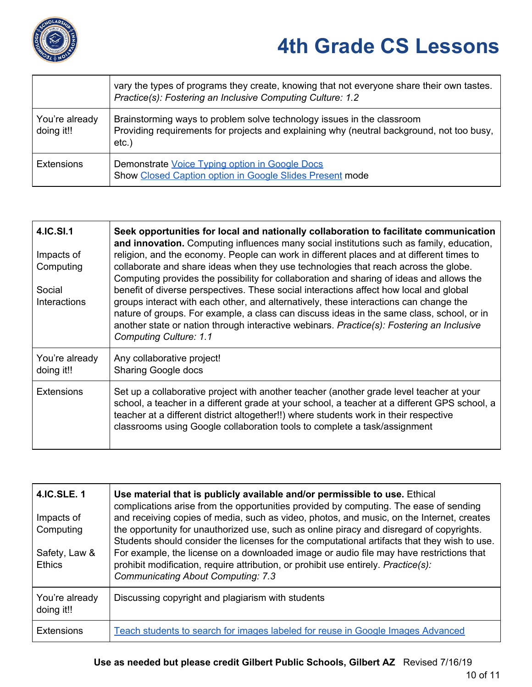

|                              | vary the types of programs they create, knowing that not everyone share their own tastes.<br>Practice(s): Fostering an Inclusive Computing Culture: 1.2                         |
|------------------------------|---------------------------------------------------------------------------------------------------------------------------------------------------------------------------------|
| You're already<br>doing it!! | Brainstorming ways to problem solve technology issues in the classroom<br>Providing requirements for projects and explaining why (neutral background, not too busy,<br>$etc.$ ) |
| <b>Extensions</b>            | Demonstrate Voice Typing option in Google Docs<br>Show Closed Caption option in Google Slides Present mode                                                                      |

| 4.IC.SI.1<br>Impacts of<br>Computing<br>Social<br><b>Interactions</b> | Seek opportunities for local and nationally collaboration to facilitate communication<br>and innovation. Computing influences many social institutions such as family, education,<br>religion, and the economy. People can work in different places and at different times to<br>collaborate and share ideas when they use technologies that reach across the globe.<br>Computing provides the possibility for collaboration and sharing of ideas and allows the<br>benefit of diverse perspectives. These social interactions affect how local and global<br>groups interact with each other, and alternatively, these interactions can change the<br>nature of groups. For example, a class can discuss ideas in the same class, school, or in<br>another state or nation through interactive webinars. Practice(s): Fostering an Inclusive<br><b>Computing Culture: 1.1</b> |
|-----------------------------------------------------------------------|--------------------------------------------------------------------------------------------------------------------------------------------------------------------------------------------------------------------------------------------------------------------------------------------------------------------------------------------------------------------------------------------------------------------------------------------------------------------------------------------------------------------------------------------------------------------------------------------------------------------------------------------------------------------------------------------------------------------------------------------------------------------------------------------------------------------------------------------------------------------------------|
| You're already<br>doing it!!                                          | Any collaborative project!<br><b>Sharing Google docs</b>                                                                                                                                                                                                                                                                                                                                                                                                                                                                                                                                                                                                                                                                                                                                                                                                                       |
| <b>Extensions</b>                                                     | Set up a collaborative project with another teacher (another grade level teacher at your<br>school, a teacher in a different grade at your school, a teacher at a different GPS school, a<br>teacher at a different district altogether!!) where students work in their respective<br>classrooms using Google collaboration tools to complete a task/assignment                                                                                                                                                                                                                                                                                                                                                                                                                                                                                                                |

| <b>4.IC.SLE. 1</b><br>Impacts of<br>Computing<br>Safety, Law &<br><b>Ethics</b> | Use material that is publicly available and/or permissible to use. Ethical<br>complications arise from the opportunities provided by computing. The ease of sending<br>and receiving copies of media, such as video, photos, and music, on the Internet, creates<br>the opportunity for unauthorized use, such as online piracy and disregard of copyrights.<br>Students should consider the licenses for the computational artifacts that they wish to use.<br>For example, the license on a downloaded image or audio file may have restrictions that<br>prohibit modification, require attribution, or prohibit use entirely. Practice(s):<br><b>Communicating About Computing: 7.3</b> |
|---------------------------------------------------------------------------------|--------------------------------------------------------------------------------------------------------------------------------------------------------------------------------------------------------------------------------------------------------------------------------------------------------------------------------------------------------------------------------------------------------------------------------------------------------------------------------------------------------------------------------------------------------------------------------------------------------------------------------------------------------------------------------------------|
| You're already<br>doing it!!                                                    | Discussing copyright and plagiarism with students                                                                                                                                                                                                                                                                                                                                                                                                                                                                                                                                                                                                                                          |
| <b>Extensions</b>                                                               | Teach students to search for images labeled for reuse in Google Images Advanced                                                                                                                                                                                                                                                                                                                                                                                                                                                                                                                                                                                                            |